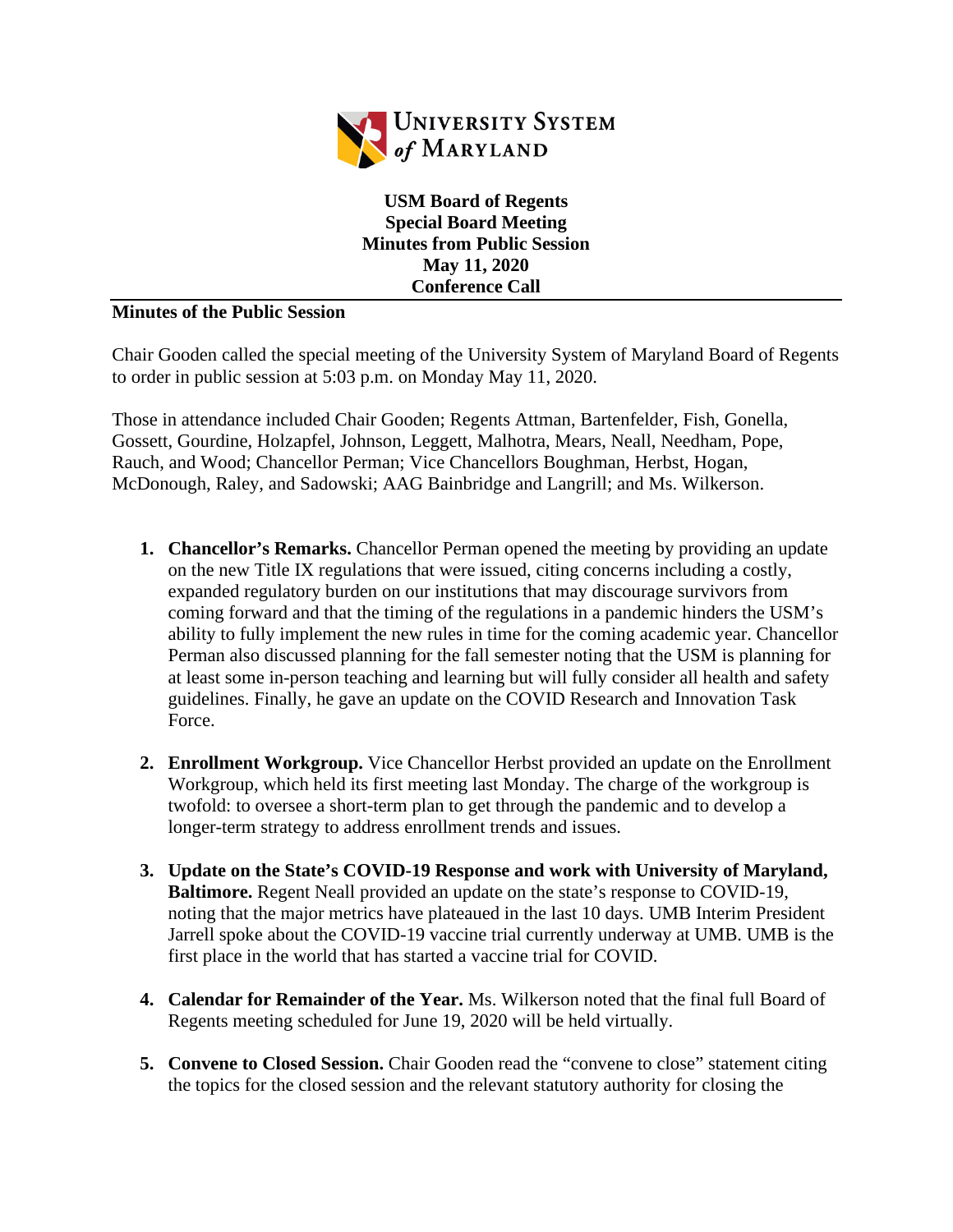

**USM Board of Regents Special Board Meeting Minutes from Public Session May 11, 2020 Conference Call**

## **Minutes of the Public Session**

Chair Gooden called the special meeting of the University System of Maryland Board of Regents to order in public session at 5:03 p.m. on Monday May 11, 2020.

Those in attendance included Chair Gooden; Regents Attman, Bartenfelder, Fish, Gonella, Gossett, Gourdine, Holzapfel, Johnson, Leggett, Malhotra, Mears, Neall, Needham, Pope, Rauch, and Wood; Chancellor Perman; Vice Chancellors Boughman, Herbst, Hogan, McDonough, Raley, and Sadowski; AAG Bainbridge and Langrill; and Ms. Wilkerson.

- **1. Chancellor's Remarks.** Chancellor Perman opened the meeting by providing an update on the new Title IX regulations that were issued, citing concerns including a costly, expanded regulatory burden on our institutions that may discourage survivors from coming forward and that the timing of the regulations in a pandemic hinders the USM's ability to fully implement the new rules in time for the coming academic year. Chancellor Perman also discussed planning for the fall semester noting that the USM is planning for at least some in-person teaching and learning but will fully consider all health and safety guidelines. Finally, he gave an update on the COVID Research and Innovation Task Force.
- **2. Enrollment Workgroup.** Vice Chancellor Herbst provided an update on the Enrollment Workgroup, which held its first meeting last Monday. The charge of the workgroup is twofold: to oversee a short-term plan to get through the pandemic and to develop a longer-term strategy to address enrollment trends and issues.
- **3. Update on the State's COVID-19 Response and work with University of Maryland, Baltimore.** Regent Neall provided an update on the state's response to COVID-19, noting that the major metrics have plateaued in the last 10 days. UMB Interim President Jarrell spoke about the COVID-19 vaccine trial currently underway at UMB. UMB is the first place in the world that has started a vaccine trial for COVID.
- **4. Calendar for Remainder of the Year.** Ms. Wilkerson noted that the final full Board of Regents meeting scheduled for June 19, 2020 will be held virtually.
- **5. Convene to Closed Session.** Chair Gooden read the "convene to close" statement citing the topics for the closed session and the relevant statutory authority for closing the